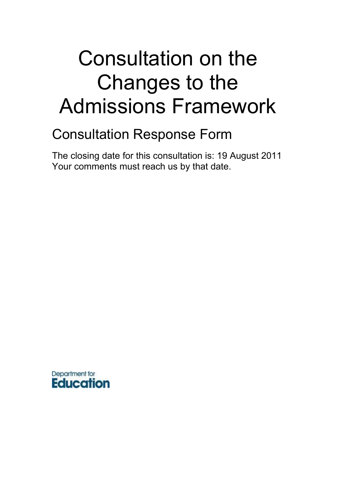# Consultation on the Changes to the Admissions Framework

# Consultation Response Form

The closing date for this consultation is: 19 August 2011 Your comments must reach us by that date.

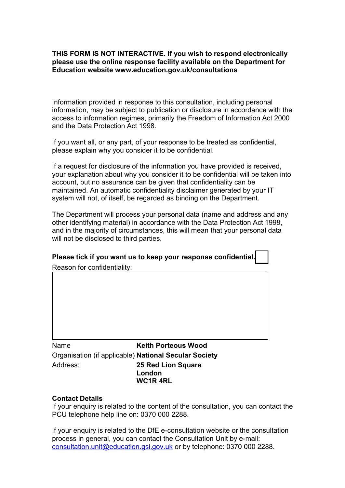#### **THIS FORM IS NOT INTERACTIVE. If you wish to respond electronically please use the online response facility available on the Department for Education website www.education.gov.uk/consultations**

Information provided in response to this consultation, including personal information, may be subject to publication or disclosure in accordance with the access to information regimes, primarily the Freedom of Information Act 2000 and the Data Protection Act 1998.

If you want all, or any part, of your response to be treated as confidential, please explain why you consider it to be confidential.

If a request for disclosure of the information you have provided is received, your explanation about why you consider it to be confidential will be taken into account, but no assurance can be given that confidentiality can be maintained. An automatic confidentiality disclaimer generated by your IT system will not, of itself, be regarded as binding on the Department.

The Department will process your personal data (name and address and any other identifying material) in accordance with the Data Protection Act 1998, and in the majority of circumstances, this will mean that your personal data will not be disclosed to third parties.

# **Please tick if you want us to keep your response confidential.**

Reason for confidentiality:

Name **Keith Porteous Wood** Organisation (if applicable) **National Secular Society** Address: **25 Red Lion Square London WC1R 4RL**

#### **Contact Details**

If your enquiry is related to the content of the consultation, you can contact the PCU telephone help line on: 0370 000 2288.

If your enquiry is related to the DfE e-consultation website or the consultation process in general, you can contact the Consultation Unit by e-mail: [consultation.unit@education.gsi.gov.uk](mailto:consultation.unit@dcsf.gsi.gov.uk) or by telephone: 0370 000 2288.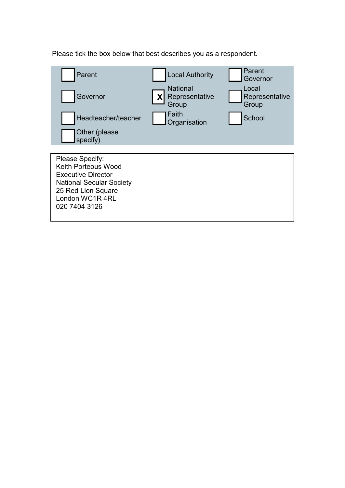Please tick the box below that best describes you as a respondent.

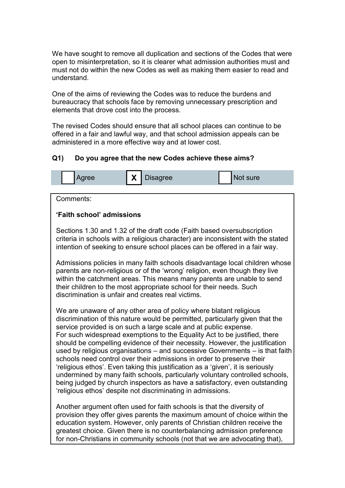We have sought to remove all duplication and sections of the Codes that were open to misinterpretation, so it is clearer what admission authorities must and must not do within the new Codes as well as making them easier to read and understand.

One of the aims of reviewing the Codes was to reduce the burdens and bureaucracy that schools face by removing unnecessary prescription and elements that drove cost into the process.

The revised Codes should ensure that all school places can continue to be offered in a fair and lawful way, and that school admission appeals can be administered in a more effective way and at lower cost.

### **Q1) Do you agree that the new Codes achieve these aims?**



Comments:

#### **'Faith school' admissions**

Sections 1.30 and 1.32 of the draft code (Faith based oversubscription criteria in schools with a religious character) are inconsistent with the stated intention of seeking to ensure school places can be offered in a fair way.

Admissions policies in many faith schools disadvantage local children whose parents are non-religious or of the "wrong" religion, even though they live within the catchment areas. This means many parents are unable to send their children to the most appropriate school for their needs. Such discrimination is unfair and creates real victims.

We are unaware of any other area of policy where blatant religious discrimination of this nature would be permitted, particularly given that the service provided is on such a large scale and at public expense. For such widespread exemptions to the Equality Act to be justified, there should be compelling evidence of their necessity. However, the justification used by religious organisations – and successive Governments – is that faith schools need control over their admissions in order to preserve their "religious ethos". Even taking this justification as a "given", it is seriously undermined by many faith schools, particularly voluntary controlled schools, being judged by church inspectors as have a satisfactory, even outstanding "religious ethos" despite not discriminating in admissions.

Another argument often used for faith schools is that the diversity of provision they offer gives parents the maximum amount of choice within the education system. However, only parents of Christian children receive the greatest choice. Given there is no counterbalancing admission preference for non-Christians in community schools (not that we are advocating that),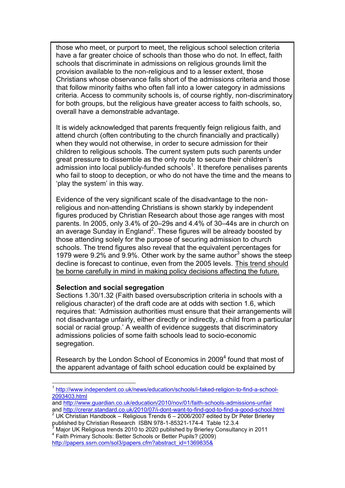those who meet, or purport to meet, the religious school selection criteria have a far greater choice of schools than those who do not. In effect, faith schools that discriminate in admissions on religious grounds limit the provision available to the non-religious and to a lesser extent, those Christians whose observance falls short of the admissions criteria and those that follow minority faiths who often fall into a lower category in admissions criteria. Access to community schools is, of course rightly, non-discriminatory for both groups, but the religious have greater access to faith schools, so, overall have a demonstrable advantage.

It is widely acknowledged that parents frequently feign religious faith, and attend church (often contributing to the church financially and practically) when they would not otherwise, in order to secure admission for their children to religious schools. The current system puts such parents under great pressure to dissemble as the only route to secure their children"s  $\alpha$ dmission into local publicly-funded schools $1$ . It therefore penalises parents who fail to stoop to deception, or who do not have the time and the means to "play the system" in this way.

Evidence of the very significant scale of the disadvantage to the nonreligious and non-attending Christians is shown starkly by independent figures produced by Christian Research about those age ranges with most parents. In 2005, only 3.4% of 20–29s and 4.4% of 30–44s are in church on an average Sunday in England<sup>2</sup>. These figures will be already boosted by those attending solely for the purpose of securing admission to church schools. The trend figures also reveal that the equivalent percentages for 1979 were  $9.2\%$  and  $9.9\%$ . Other work by the same author<sup>3</sup> shows the steep decline is forecast to continue, even from the 2005 levels. This trend should be borne carefully in mind in making policy decisions affecting the future.

#### **Selection and social segregation**

Sections 1.30/1.32 (Faith based oversubscription criteria in schools with a religious character) of the draft code are at odds with section 1.6, which requires that: "Admission authorities must ensure that their arrangements will not disadvantage unfairly, either directly or indirectly, a child from a particular social or racial group.' A wealth of evidence suggests that discriminatory admissions policies of some faith schools lead to socio-economic segregation.

Research by the London School of Economics in 2009<sup>4</sup> found that most of the apparent advantage of faith school education could be explained by

[http://papers.ssrn.com/sol3/papers.cfm?abstract\\_id=1369835&](http://papers.ssrn.com/sol3/papers.cfm?abstract_id=1369835&)

l *1* [http://www.independent.co.uk/news/education/schools/i-faked-religion-to-find-a-school-](http://www.independent.co.uk/news/education/schools/i-faked-religion-to-find-a-school-2093403.html)[2093403.html](http://www.independent.co.uk/news/education/schools/i-faked-religion-to-find-a-school-2093403.html)

and<http://www.guardian.co.uk/education/2010/nov/01/faith-schools-admissions-unfair> and<http://crerar.standard.co.uk/2010/07/i-dont-want-to-find-god-to-find-a-good-school.html>

<sup>2</sup> UK Christian Handbook – Religious Trends 6 – 2006/2007 edited by Dr Peter Brierley published by Christian Research ISBN 978-1-85321-174-4 Table 12.3.4

<sup>3</sup> Major UK Religious trends 2010 to 2020 published by Brierley Consultancy in 2011 4 Faith Primary Schools: Better Schools or Better Pupils? (2009)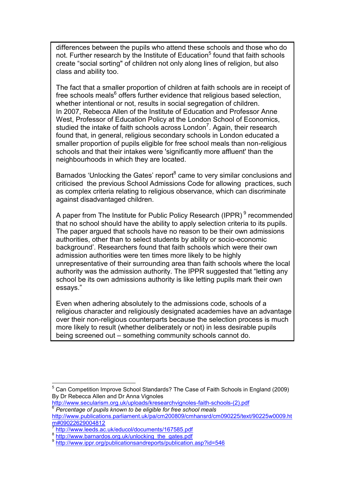differences between the pupils who attend these schools and those who do not. Further research by the Institute of Education<sup>5</sup> found that faith schools create "social sorting" of children not only along lines of religion, but also class and ability too.

The fact that a smaller proportion of children at faith schools are in receipt of free schools meals<sup>6</sup> offers further evidence that religious based selection, whether intentional or not, results in social segregation of children. In 2007, Rebecca Allen of the Institute of Education and Professor Anne West, Professor of Education Policy at the London School of Economics, studied the intake of faith schools across London<sup>7</sup>. Again, their research found that, in general, religious secondary schools in London educated a smaller proportion of pupils eligible for free school meals than non-religious schools and that their intakes were 'significantly more affluent' than the neighbourhoods in which they are located.

Barnados 'Unlocking the Gates' report<sup>8</sup> came to very similar conclusions and criticised the previous School Admissions Code for allowing practices, such as complex criteria relating to religious observance, which can discriminate against disadvantaged children.

A paper from The Institute for Public Policy Research (IPPR)<sup>9</sup> recommended that no school should have the ability to apply selection criteria to its pupils. The paper argued that schools have no reason to be their own admissions authorities, other than to select students by ability or socio-economic background"*.* Researchers found that faith schools which were their own admission authorities were ten times more likely to be highly unrepresentative of their surrounding area than faith schools where the local authority was the admission authority. The IPPR suggested that "letting any school be its own admissions authority is like letting pupils mark their own essays."

Even when adhering absolutely to the admissions code, schools of a religious character and religiously designated academies have an advantage over their non-religious counterparts because the selection process is much more likely to result (whether deliberately or not) in less desirable pupils being screened out – something community schools cannot do.

l <sup>5</sup> Can Competition Improve School Standards? The Case of Faith Schools in England (2009) By Dr Rebecca Allen and Dr Anna Vignoles

[http://www.secularism.org.uk/uploads/kresearchvignoles-faith-schools-\(2\).pdf](http://www.secularism.org.uk/uploads/kresearchvignoles-faith-schools-(2).pdf) 6 *Percentage of pupils known to be eligible for free school meals* 

[http://www.publications.parliament.uk/pa/cm200809/cmhansrd/cm090225/text/90225w0009.ht](http://www.publications.parliament.uk/pa/cm200809/cmhansrd/cm090225/text/90225w0009.htm#09022629004812) [m#09022629004812](http://www.publications.parliament.uk/pa/cm200809/cmhansrd/cm090225/text/90225w0009.htm#09022629004812)

<sup>7</sup> <http://www.leeds.ac.uk/educol/documents/167585.pdf>

<sup>&</sup>lt;sup>8</sup><br>[http://www.barnardos.org.uk/unlocking\\_the\\_gates.pdf](http://www.barnardos.org.uk/unlocking_the_gates.pdf)<br>9 http://www.jppr.org/publicationeendrenerte/publication

<http://www.ippr.org/publicationsandreports/publication.asp?id=546>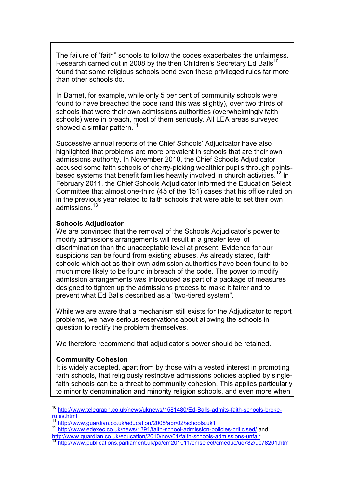The failure of "faith" schools to follow the codes exacerbates the unfairness. Research carried out in 2008 by the then Children's Secretary Ed Balls<sup>10</sup> found that some religious schools bend even these privileged rules far more than other schools do.

In Barnet, for example, while only 5 per cent of community schools were found to have breached the code (and this was slightly), over two thirds of schools that were their own admissions authorities (overwhelmingly faith schools) were in breach, most of them seriously. All LEA areas surveyed showed a similar pattern.<sup>11</sup>

Successive annual reports of the Chief Schools" Adjudicator have also highlighted that problems are more prevalent in schools that are their own admissions authority. In November 2010, the Chief Schools Adjudicator accused some faith schools of cherry-picking wealthier pupils through pointsbased systems that benefit families heavily involved in church activities.<sup>12</sup> In February 2011, the Chief Schools Adjudicator informed the Education Select Committee that almost one-third (45 of the 151) cases that his office ruled on in the previous year related to faith schools that were able to set their own admissions $13$ 

#### **Schools Adjudicator**

We are convinced that the removal of the Schools Adjudicator's power to modify admissions arrangements will result in a greater level of discrimination than the unacceptable level at present. Evidence for our suspicions can be found from existing abuses. As already stated, faith schools which act as their own admission authorities have been found to be much more likely to be found in breach of the code. The power to modify admission arrangements was introduced as part of a package of measures designed to tighten up the admissions process to make it fairer and to prevent what Ed Balls described as a "two-tiered system".

While we are aware that a mechanism still exists for the Adjudicator to report problems, we have serious reservations about allowing the schools in question to rectify the problem themselves.

We therefore recommend that adjudicator's power should be retained.

#### **Community Cohesion**

l

It is widely accepted, apart from by those with a vested interest in promoting faith schools, that religiously restrictive admissions policies applied by singlefaith schools can be a threat to community cohesion. This applies particularly to minority denomination and minority religion schools, and even more when

<sup>&</sup>lt;sup>10</sup> [http://www.telegraph.co.uk/news/uknews/1581480/Ed-Balls-admits-faith-schools-broke](http://www.telegraph.co.uk/news/uknews/1581480/Ed-Balls-admits-faith-schools-broke-rules.html) $rules.html$  $rules.html$  $rules.html$ </u>

<http://www.guardian.co.uk/education/2008/apr/02/schools.uk1>

<sup>12</sup> <http://www.edexec.co.uk/news/1391/faith-school-admission-policies-criticised/> and <http://www.guardian.co.uk/education/2010/nov/01/faith-schools-admissions-unfair>

<sup>13</sup> <http://www.publications.parliament.uk/pa/cm201011/cmselect/cmeduc/uc782/uc78201.htm>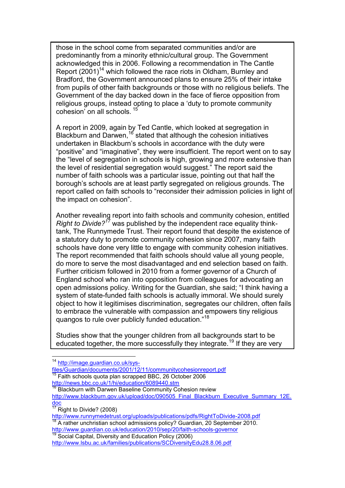those in the school come from separated communities and/or are predominantly from a minority ethnic/cultural group. The Government acknowledged this in 2006. Following a recommendation in The Cantle Report  $(2001)^{14}$  which followed the race riots in Oldham, Burnley and Bradford, the Government announced plans to ensure 25% of their intake from pupils of other faith backgrounds or those with no religious beliefs. The Government of the day backed down in the face of fierce opposition from religious groups, instead opting to place a "duty to promote community cohesion' on all schools.  $1$ 

A report in 2009, again by Ted Cantle, which looked at segregation in Blackburn and Darwen,<sup>16</sup> stated that although the cohesion initiatives undertaken in Blackburn"s schools in accordance with the duty were "positive" and "imaginative", they were insufficient. The report went on to say the "level of segregation in schools is high, growing and more extensive than the level of residential segregation would suggest." The report said the number of faith schools was a particular issue, pointing out that half the borough"s schools are at least partly segregated on religious grounds. The report called on faith schools to "reconsider their admission policies in light of the impact on cohesion".

Another revealing report into faith schools and community cohesion, entitled *Right to Divide?<sup>17</sup>* was published by the independent race equality thinktank, The Runnymede Trust. Their report found that despite the existence of a statutory duty to promote community cohesion since 2007, many faith schools have done very little to engage with community cohesion initiatives. The report recommended that faith schools should value all young people, do more to serve the most disadvantaged and end selection based on faith. Further criticism followed in 2010 from a former governor of a Church of England school who ran into opposition from colleagues for advocating an open admissions policy. Writing for the Guardian, she said; "I think having a system of state-funded faith schools is actually immoral. We should surely object to how it legitimises discrimination, segregates our children, often fails to embrace the vulnerable with compassion and empowers tiny religious quangos to rule over publicly funded education."<sup>18</sup>

Studies show that the younger children from all backgrounds start to be educated together, the more successfully they integrate.<sup>19</sup> If they are very

[http://www.blackburn.gov.uk/upload/doc/090505\\_Final\\_Blackburn\\_Executive\\_Summary\\_12E.](http://www.blackburn.gov.uk/upload/doc/090505_Final_Blackburn_Executive_Summary_12E.doc) [doc](http://www.blackburn.gov.uk/upload/doc/090505_Final_Blackburn_Executive_Summary_12E.doc)

<http://www.guardian.co.uk/education/2010/sep/20/faith-schools-governor> Social Capital, Diversity and Education Policy (2006)

 $\overline{a}$ <sup>14</sup> [http://image.guardian.co.uk/sys-](http://image.guardian.co.uk/sys-files/Guardian/documents/2001/12/11/communitycohesionreport.pdf)

[files/Guardian/documents/2001/12/11/communitycohesionreport.pdf](http://image.guardian.co.uk/sys-files/Guardian/documents/2001/12/11/communitycohesionreport.pdf) <sup>15</sup> Faith schools quota plan scrapped BBC, 26 October 2006 <http://news.bbc.co.uk/1/hi/education/6089440.stm>

**Blackburn with Darwen Baseline Community Cohesion review** 

 $\frac{17}{17}$  Right to Divide? (2008)

<http://www.runnymedetrust.org/uploads/publications/pdfs/RightToDivide-2008.pdf> <sup>18</sup> A rather unchristian school admissions policy? Guardian, 20 September 2010.

<http://www.lsbu.ac.uk/families/publications/SCDiversityEdu28.8.06.pdf>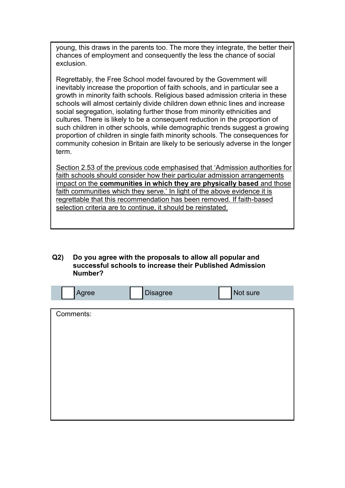young, this draws in the parents too. The more they integrate, the better their chances of employment and consequently the less the chance of social exclusion.

Regrettably, the Free School model favoured by the Government will inevitably increase the proportion of faith schools, and in particular see a growth in minority faith schools. Religious based admission criteria in these schools will almost certainly divide children down ethnic lines and increase social segregation, isolating further those from minority ethnicities and cultures. There is likely to be a consequent reduction in the proportion of such children in other schools, while demographic trends suggest a growing proportion of children in single faith minority schools. The consequences for community cohesion in Britain are likely to be seriously adverse in the longer term.

Section 2.53 of the previous code emphasised that "Admission authorities for faith schools should consider how their particular admission arrangements impact on the **communities in which they are physically based** and those faith communities which they serve.' In light of the above evidence it is regrettable that this recommendation has been removed. If faith-based selection criteria are to continue, it should be reinstated.

#### **Q2) Do you agree with the proposals to allow all popular and successful schools to increase their Published Admission Number?**

| Agree     | <b>Disagree</b> | Not sure |
|-----------|-----------------|----------|
|           |                 |          |
| Comments: |                 |          |
|           |                 |          |
|           |                 |          |
|           |                 |          |
|           |                 |          |
|           |                 |          |
|           |                 |          |
|           |                 |          |
|           |                 |          |
|           |                 |          |
|           |                 |          |
|           |                 |          |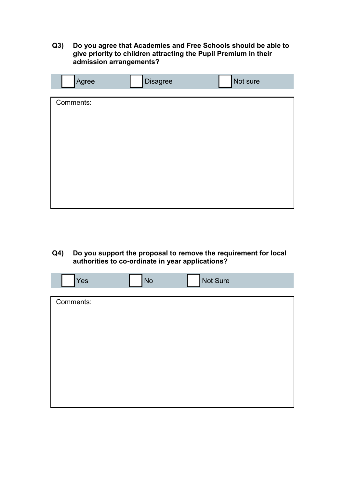### **Q3) Do you agree that Academies and Free Schools should be able to give priority to children attracting the Pupil Premium in their admission arrangements?**

| Agree     | <b>Disagree</b> | Not sure |
|-----------|-----------------|----------|
| Comments: |                 |          |
|           |                 |          |

**Q4) Do you support the proposal to remove the requirement for local authorities to co-ordinate in year applications?**

| Yes       | <b>No</b> | Not Sure |  |
|-----------|-----------|----------|--|
|           |           |          |  |
| Comments: |           |          |  |
|           |           |          |  |
|           |           |          |  |
|           |           |          |  |
|           |           |          |  |
|           |           |          |  |
|           |           |          |  |
|           |           |          |  |
|           |           |          |  |
|           |           |          |  |
|           |           |          |  |
|           |           |          |  |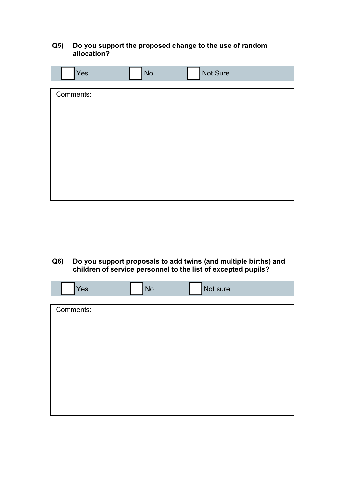#### **Q5) Do you support the proposed change to the use of random allocation?**

| Yes       | No | Not Sure |  |
|-----------|----|----------|--|
|           |    |          |  |
| Comments: |    |          |  |
|           |    |          |  |
|           |    |          |  |
|           |    |          |  |
|           |    |          |  |
|           |    |          |  |
|           |    |          |  |
|           |    |          |  |
|           |    |          |  |
|           |    |          |  |
|           |    |          |  |

**Q6) Do you support proposals to add twins (and multiple births) and children of service personnel to the list of excepted pupils?**

| Yes       | <b>No</b> | Not sure |  |
|-----------|-----------|----------|--|
|           |           |          |  |
| Comments: |           |          |  |
|           |           |          |  |
|           |           |          |  |
|           |           |          |  |
|           |           |          |  |
|           |           |          |  |
|           |           |          |  |
|           |           |          |  |
|           |           |          |  |
|           |           |          |  |
|           |           |          |  |
|           |           |          |  |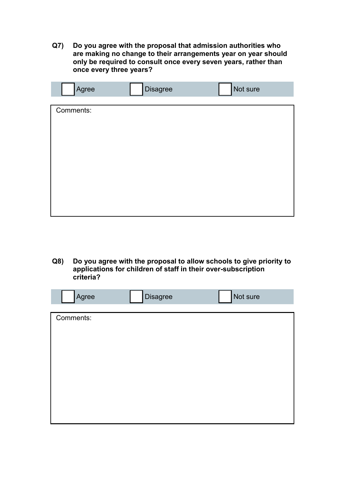**Q7) Do you agree with the proposal that admission authorities who are making no change to their arrangements year on year should only be required to consult once every seven years, rather than once every three years?** 

| Agree     | <b>Disagree</b> | Not sure |
|-----------|-----------------|----------|
|           |                 |          |
| Comments: |                 |          |
|           |                 |          |
|           |                 |          |
|           |                 |          |
|           |                 |          |
|           |                 |          |
|           |                 |          |
|           |                 |          |
|           |                 |          |
|           |                 |          |
|           |                 |          |
|           |                 |          |

**Q8) Do you agree with the proposal to allow schools to give priority to applications for children of staff in their over-subscription criteria?**

| Agree     | <b>Disagree</b> | Not sure |
|-----------|-----------------|----------|
|           |                 |          |
| Comments: |                 |          |
|           |                 |          |
|           |                 |          |
|           |                 |          |
|           |                 |          |
|           |                 |          |
|           |                 |          |
|           |                 |          |
|           |                 |          |
|           |                 |          |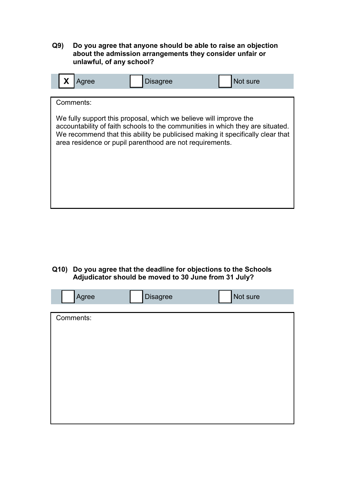#### **Q9) Do you agree that anyone should be able to raise an objection about the admission arrangements they consider unfair or unlawful, of any school?**



**Q10) Do you agree that the deadline for objections to the Schools Adjudicator should be moved to 30 June from 31 July?**

| Agree     | <b>Disagree</b> | Not sure |
|-----------|-----------------|----------|
|           |                 |          |
| Comments: |                 |          |
|           |                 |          |
|           |                 |          |
|           |                 |          |
|           |                 |          |
|           |                 |          |
|           |                 |          |
|           |                 |          |
|           |                 |          |
|           |                 |          |
|           |                 |          |
|           |                 |          |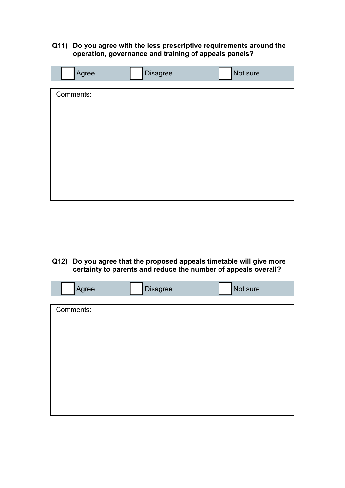#### **Q11) Do you agree with the less prescriptive requirements around the operation, governance and training of appeals panels?**

| Agree     | <b>Disagree</b> | Not sure |
|-----------|-----------------|----------|
|           |                 |          |
| Comments: |                 |          |
|           |                 |          |
|           |                 |          |
|           |                 |          |
|           |                 |          |
|           |                 |          |
|           |                 |          |
|           |                 |          |
|           |                 |          |
|           |                 |          |
|           |                 |          |
|           |                 |          |

**Q12) Do you agree that the proposed appeals timetable will give more certainty to parents and reduce the number of appeals overall?**

| Agree     | <b>Disagree</b> | Not sure |
|-----------|-----------------|----------|
|           |                 |          |
| Comments: |                 |          |
|           |                 |          |
|           |                 |          |
|           |                 |          |
|           |                 |          |
|           |                 |          |
|           |                 |          |
|           |                 |          |
|           |                 |          |
|           |                 |          |
|           |                 |          |
|           |                 |          |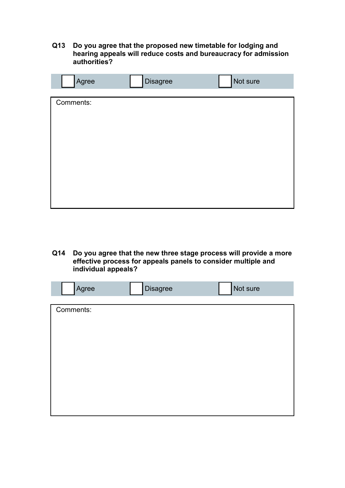#### **Q13 Do you agree that the proposed new timetable for lodging and hearing appeals will reduce costs and bureaucracy for admission authorities?**

| Agree     | <b>Disagree</b> | Not sure |
|-----------|-----------------|----------|
| Comments: |                 |          |
|           |                 |          |

**Q14 Do you agree that the new three stage process will provide a more effective process for appeals panels to consider multiple and individual appeals?** 

| Agree     | <b>Disagree</b> | Not sure |
|-----------|-----------------|----------|
|           |                 |          |
| Comments: |                 |          |
|           |                 |          |
|           |                 |          |
|           |                 |          |
|           |                 |          |
|           |                 |          |
|           |                 |          |
|           |                 |          |
|           |                 |          |
|           |                 |          |
|           |                 |          |
|           |                 |          |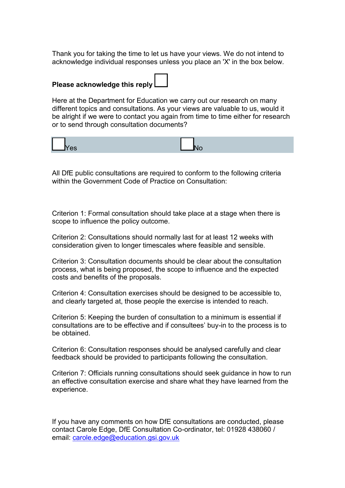Thank you for taking the time to let us have your views. We do not intend to acknowledge individual responses unless you place an 'X' in the box below.

# **Please acknowledge this reply**

Here at the Department for Education we carry out our research on many different topics and consultations. As your views are valuable to us, would it be alright if we were to contact you again from time to time either for research or to send through consultation documents?

| п |  |
|---|--|
|---|--|

All DfE public consultations are required to conform to the following criteria within the Government Code of Practice on Consultation:

Criterion 1: Formal consultation should take place at a stage when there is scope to influence the policy outcome.

Criterion 2: Consultations should normally last for at least 12 weeks with consideration given to longer timescales where feasible and sensible.

Criterion 3: Consultation documents should be clear about the consultation process, what is being proposed, the scope to influence and the expected costs and benefits of the proposals.

Criterion 4: Consultation exercises should be designed to be accessible to, and clearly targeted at, those people the exercise is intended to reach.

Criterion 5: Keeping the burden of consultation to a minimum is essential if consultations are to be effective and if consultees" buy-in to the process is to be obtained.

Criterion 6: Consultation responses should be analysed carefully and clear feedback should be provided to participants following the consultation.

Criterion 7: Officials running consultations should seek guidance in how to run an effective consultation exercise and share what they have learned from the experience.

If you have any comments on how DfE consultations are conducted, please contact Carole Edge, DfE Consultation Co-ordinator, tel: 01928 438060 / email: [carole.edge@education.gsi.gov.uk](mailto:carole.edge@education.gsi.gov.uk)